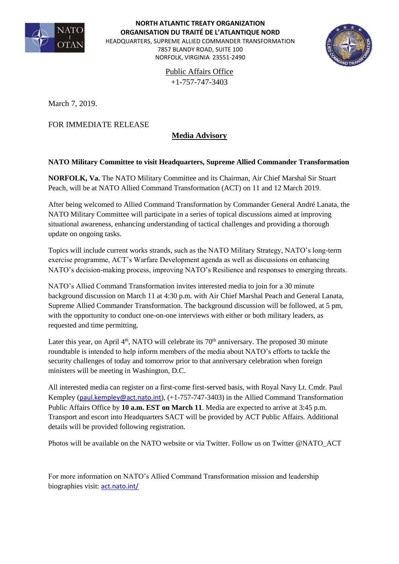

## **NORTH ATLANTIC TREATY ORGANIZATION ORGANISATION DU TRAITÉ DE L'ATLANTIQUE NORD**

HEADQUARTERS, SUPREME ALLIED COMMANDER TRANSFORMATION

7857 BLANDY ROAD, SUITE 100 NORFOLK, VIRGINIA 23551-2490



Public Affairs Office +1-757-747-3403

March 7, 2019.

FOR IMMEDIATE RELEASE

## **Media Advisory**

## **NATO Military Committee to visit Headquarters, Supreme Allied Commander Transformation**

**NORFOLK, Va.** The NATO Military Committee and its Chairman, Air Chief Marshal Sir Stuart Peach, will be at NATO Allied Command Transformation (ACT) on 11 and 12 March 2019.

After being welcomed to Allied Command Transformation by Commander General André Lanata, the NATO Military Committee will participate in a series of topical discussions aimed at improving situational awareness, enhancing understanding of tactical challenges and providing a thorough update on ongoing tasks.

Topics will include current works strands, such as the NATO Military Strategy, NATO's long-term exercise programme, ACT's Warfare Development agenda as well as discussions on enhancing NATO's decision-making process, improving NATO's Resilience and responses to emerging threats.

NATO's Allied Command Transformation invites interested media to join for a 30 minute background discussion on March 11 at 4:30 p.m. with Air Chief Marshal Peach and General Lanata, Supreme Allied Commander Transformation. The background discussion will be followed, at 5 pm, with the opportunity to conduct one-on-one interviews with either or both military leaders, as requested and time permitting.

Later this year, on April  $4<sup>th</sup>$ , NATO will celebrate its 70<sup>th</sup> anniversary. The proposed 30 minute roundtable is intended to help inform members of the media about NATO's efforts to tackle the security challenges of today and tomorrow prior to that anniversary celebration when foreign ministers will be meeting in Washington, D.C.

All interested media can register on a first-come first-served basis, with Royal Navy Lt. Cmdr. Paul Kempley ([paul.kempley@act.nato.int](mailto:paul.kempley@act.nato.int)), (+1-757-747-3403) in the Allied Command Transformation Public Affairs Office by **10 a.m. EST on March 11**. Media are expected to arrive at 3:45 p.m. Transport and escort into Headquarters SACT will be provided by ACT Public Affairs. Additional details will be provided following registration.

Photos will be available on the NATO website or via Twitter. Follow us on Twitter @NATO\_ACT

For more information on NATO's Allied Command Transformation mission and leadership biographies visit: <act.nato.int/>